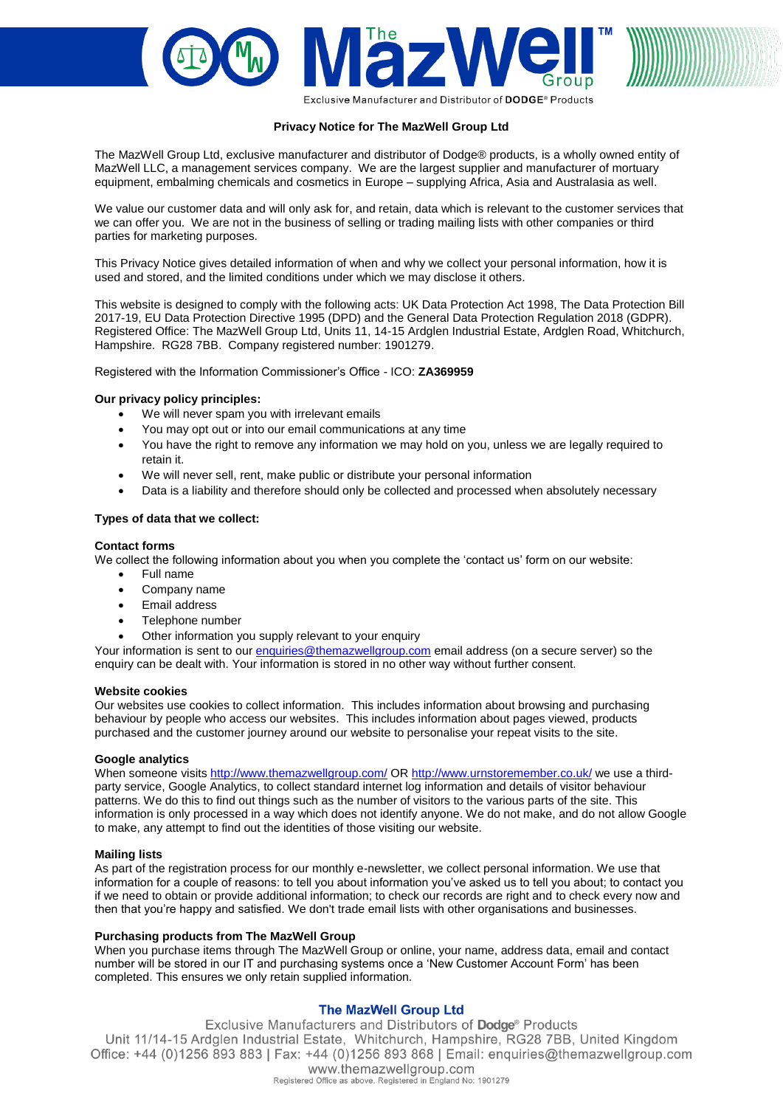

Exclusive Manufacturer and Distributor of DODGE® Products

# **Privacy Notice for The MazWell Group Ltd**

The MazWell Group Ltd, exclusive manufacturer and distributor of Dodge® products, is a wholly owned entity of MazWell LLC, a management services company. We are the largest supplier and manufacturer of mortuary equipment, embalming chemicals and cosmetics in Europe – supplying Africa, Asia and Australasia as well.

We value our customer data and will only ask for, and retain, data which is relevant to the customer services that we can offer you. We are not in the business of selling or trading mailing lists with other companies or third parties for marketing purposes.

This Privacy Notice gives detailed information of when and why we collect your personal information, how it is used and stored, and the limited conditions under which we may disclose it others.

This website is designed to comply with the following acts: UK Data Protection Act 1998, The Data Protection Bill 2017-19, EU Data Protection Directive 1995 (DPD) and the General Data Protection Regulation 2018 (GDPR). Registered Office: The MazWell Group Ltd, Units 11, 14-15 Ardglen Industrial Estate, Ardglen Road, Whitchurch, Hampshire. RG28 7BB. Company registered number: 1901279.

Registered with the Information Commissioner's Office - ICO: **ZA369959**

# **Our privacy policy principles:**

- We will never spam you with irrelevant emails
- You may opt out or into our email communications at any time
- You have the right to remove any information we may hold on you, unless we are legally required to retain it.
- We will never sell, rent, make public or distribute your personal information
- Data is a liability and therefore should only be collected and processed when absolutely necessary

# **Types of data that we collect:**

# **Contact forms**

We collect the following information about you when you complete the 'contact us' form on our website:

- Full name
- Company name
- Email address
- Telephone number
- Other information you supply relevant to your enquiry

Your information is sent to ou[r enquiries@themazwellgroup.com](mailto:enquiries@themazwellgroup.com) email address (on a secure server) so the enquiry can be dealt with. Your information is stored in no other way without further consent.

# **Website cookies**

Our websites use cookies to collect information. This includes information about browsing and purchasing behaviour by people who access our websites. This includes information about pages viewed, products purchased and the customer journey around our website to personalise your repeat visits to the site.

# **Google analytics**

When someone visits<http://www.themazwellgroup.com/> OR<http://www.urnstoremember.co.uk/> we use a thirdparty service, Google Analytics, to collect standard internet log information and details of visitor behaviour patterns. We do this to find out things such as the number of visitors to the various parts of the site. This information is only processed in a way which does not identify anyone. We do not make, and do not allow Google to make, any attempt to find out the identities of those visiting our website.

# **Mailing lists**

As part of the registration process for our monthly e-newsletter, we collect personal information. We use that information for a couple of reasons: to tell you about information you've asked us to tell you about; to contact you if we need to obtain or provide additional information; to check our records are right and to check every now and then that you're happy and satisfied. We don't trade email lists with other organisations and businesses.

# **Purchasing products from The MazWell Group**

When you purchase items through The MazWell Group or online, your name, address data, email and contact number will be stored in our IT and purchasing systems once a 'New Customer Account Form' has been completed. This ensures we only retain supplied information.

# **The MazWell Group Ltd**

Exclusive Manufacturers and Distributors of Dodge® Products Unit 11/14-15 Ardglen Industrial Estate, Whitchurch, Hampshire, RG28 7BB, United Kingdom Office: +44 (0)1256 893 883 | Fax: +44 (0)1256 893 868 | Email: enquiries@themazwellgroup.com www.themazwellgroup.com Registered Office as above. Registered in England No: 1901279